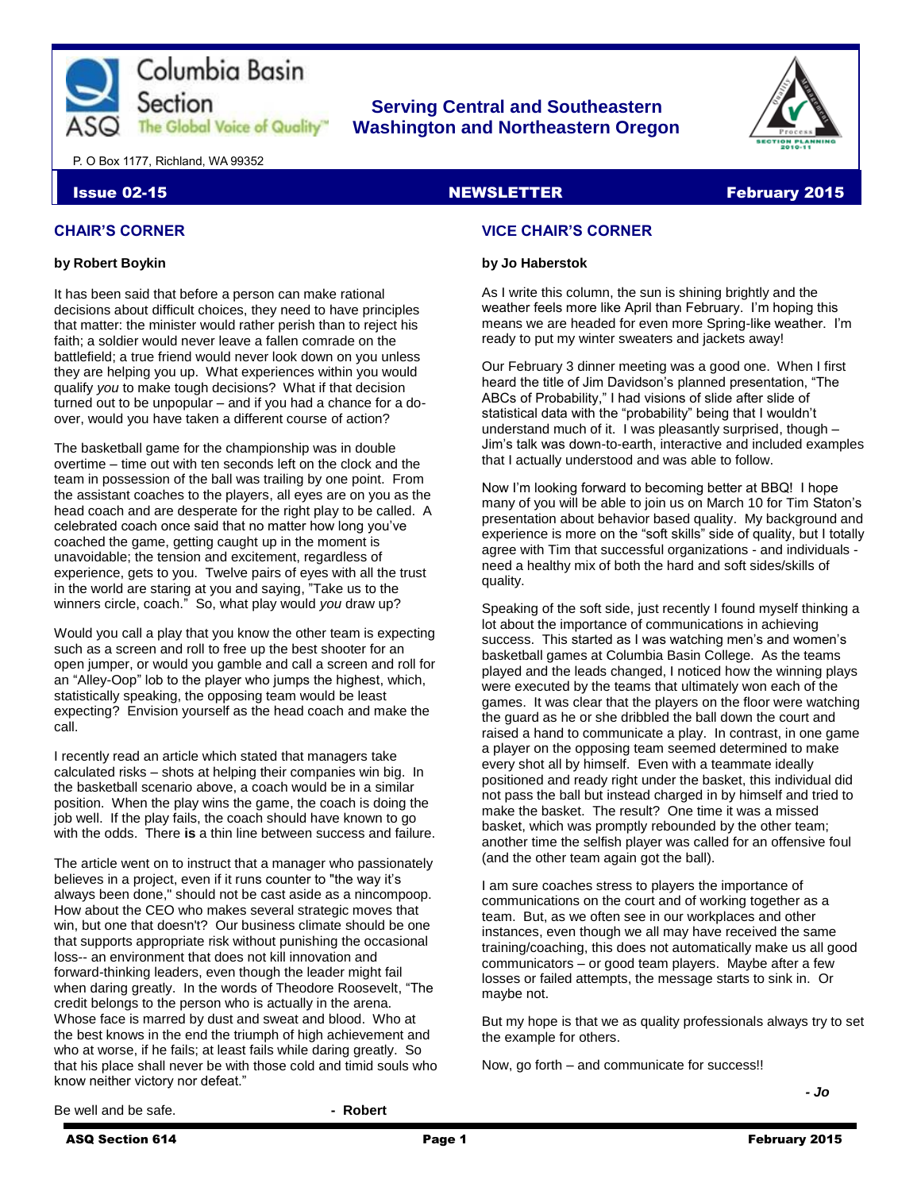

# **Serving Central and Southeastern The Global Voice of Quality | Washington and Northeastern Oregon**



P. O Box 1177, Richland, WA 99352

# **Issue 02-15** NEWSLETTER February 2015

# **CHAIR'S CORNER**

#### **by Robert Boykin**

It has been said that before a person can make rational decisions about difficult choices, they need to have principles that matter: the minister would rather perish than to reject his faith; a soldier would never leave a fallen comrade on the battlefield; a true friend would never look down on you unless they are helping you up. What experiences within you would qualify *you* to make tough decisions? What if that decision turned out to be unpopular – and if you had a chance for a doover, would you have taken a different course of action?

The basketball game for the championship was in double overtime – time out with ten seconds left on the clock and the team in possession of the ball was trailing by one point. From the assistant coaches to the players, all eyes are on you as the head coach and are desperate for the right play to be called. A celebrated coach once said that no matter how long you've coached the game, getting caught up in the moment is unavoidable; the tension and excitement, regardless of experience, gets to you. Twelve pairs of eyes with all the trust in the world are staring at you and saying, "Take us to the winners circle, coach." So, what play would *you* draw up?

Would you call a play that you know the other team is expecting such as a screen and roll to free up the best shooter for an open jumper, or would you gamble and call a screen and roll for an "Alley-Oop" lob to the player who jumps the highest, which, statistically speaking, the opposing team would be least expecting? Envision yourself as the head coach and make the call.

I recently read an article which stated that managers take calculated risks – shots at helping their companies win big. In the basketball scenario above, a coach would be in a similar position. When the play wins the game, the coach is doing the job well. If the play fails, the coach should have known to go with the odds. There **is** a thin line between success and failure.

The article went on to instruct that a manager who passionately believes in a project, even if it runs counter to "the way it's always been done," should not be cast aside as a nincompoop. How about the CEO who makes several strategic moves that win, but one that doesn't? Our business climate should be one that supports appropriate risk without punishing the occasional loss-- an environment that does not kill innovation and forward-thinking leaders, even though the leader might fail when daring greatly. In the words of Theodore Roosevelt, "The credit belongs to the person who is actually in the arena. Whose face is marred by dust and sweat and blood. Who at the best knows in the end the triumph of high achievement and who at worse, if he fails; at least fails while daring greatly. So that his place shall never be with those cold and timid souls who know neither victory nor defeat."

# **VICE CHAIR'S CORNER**

#### **by Jo Haberstok**

As I write this column, the sun is shining brightly and the weather feels more like April than February. I'm hoping this means we are headed for even more Spring-like weather. I'm ready to put my winter sweaters and jackets away!

Our February 3 dinner meeting was a good one. When I first heard the title of Jim Davidson's planned presentation, "The ABCs of Probability," I had visions of slide after slide of statistical data with the "probability" being that I wouldn't understand much of it. I was pleasantly surprised, though – Jim's talk was down-to-earth, interactive and included examples that I actually understood and was able to follow.

Now I'm looking forward to becoming better at BBQ! I hope many of you will be able to join us on March 10 for Tim Staton's presentation about behavior based quality. My background and experience is more on the "soft skills" side of quality, but I totally agree with Tim that successful organizations - and individuals need a healthy mix of both the hard and soft sides/skills of quality.

Speaking of the soft side, just recently I found myself thinking a lot about the importance of communications in achieving success. This started as I was watching men's and women's basketball games at Columbia Basin College. As the teams played and the leads changed, I noticed how the winning plays were executed by the teams that ultimately won each of the games. It was clear that the players on the floor were watching the guard as he or she dribbled the ball down the court and raised a hand to communicate a play. In contrast, in one game a player on the opposing team seemed determined to make every shot all by himself. Even with a teammate ideally positioned and ready right under the basket, this individual did not pass the ball but instead charged in by himself and tried to make the basket. The result? One time it was a missed basket, which was promptly rebounded by the other team; another time the selfish player was called for an offensive foul (and the other team again got the ball).

I am sure coaches stress to players the importance of communications on the court and of working together as a team. But, as we often see in our workplaces and other instances, even though we all may have received the same training/coaching, this does not automatically make us all good communicators – or good team players. Maybe after a few losses or failed attempts, the message starts to sink in. Or maybe not.

But my hope is that we as quality professionals always try to set the example for others.

*- Jo*

Now, go forth – and communicate for success!!

Be well and be safe. **- Robert**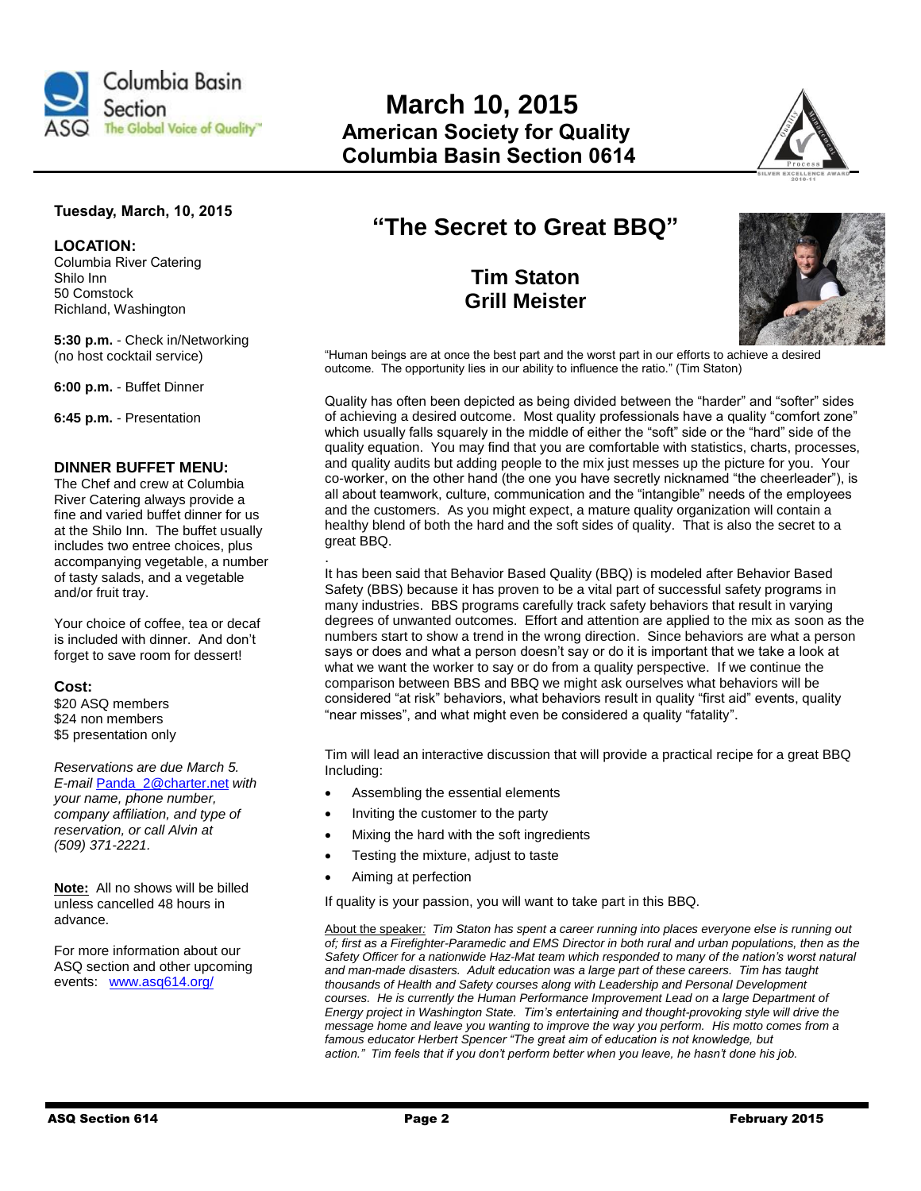

# **March 10, 2015 The Global Voice of Quality" American Society for Quality Columbia Basin Section 0614**



# **Tuesday, March, 10, 2015**

**LOCATION:** 

Columbia River Catering Shilo Inn 50 Comstock Richland, Washington

**5:30 p.m.** - Check in/Networking (no host cocktail service)

**6:00 p.m.** - Buffet Dinner

**6:45 p.m.** - Presentation

# **DINNER BUFFET MENU:**

The Chef and crew at Columbia River Catering always provide a fine and varied buffet dinner for us at the Shilo Inn. The buffet usually includes two entree choices, plus accompanying vegetable, a number of tasty salads, and a vegetable and/or fruit tray.

Your choice of coffee, tea or decaf is included with dinner. And don't forget to save room for dessert!

#### **Cost:**

\$20 ASQ members \$24 non members \$5 presentation only

*Reservations are due March 5. E-mail* [Panda\\_2@charter.net](mailto:Panda_2@charter.net) *with your name, phone number, company affiliation, and type of reservation, or call Alvin at (509) 371-2221.*

**Note:** All no shows will be billed unless cancelled 48 hours in advance.

For more information about our ASQ section and other upcoming events: [www.asq614.org/](http://www.asq614.org/)

# **"The Secret to Great BBQ"**

**Tim Staton Grill Meister**



"Human beings are at once the best part and the worst part in our efforts to achieve a desired outcome. The opportunity lies in our ability to influence the ratio." (Tim Staton)

Quality has often been depicted as being divided between the "harder" and "softer" sides of achieving a desired outcome. Most quality professionals have a quality "comfort zone" which usually falls squarely in the middle of either the "soft" side or the "hard" side of the quality equation. You may find that you are comfortable with statistics, charts, processes, and quality audits but adding people to the mix just messes up the picture for you. Your co-worker, on the other hand (the one you have secretly nicknamed "the cheerleader"), is all about teamwork, culture, communication and the "intangible" needs of the employees and the customers. As you might expect, a mature quality organization will contain a healthy blend of both the hard and the soft sides of quality. That is also the secret to a great BBQ.

. It has been said that Behavior Based Quality (BBQ) is modeled after Behavior Based Safety (BBS) because it has proven to be a vital part of successful safety programs in many industries. BBS programs carefully track safety behaviors that result in varying degrees of unwanted outcomes. Effort and attention are applied to the mix as soon as the numbers start to show a trend in the wrong direction. Since behaviors are what a person says or does and what a person doesn't say or do it is important that we take a look at what we want the worker to say or do from a quality perspective. If we continue the comparison between BBS and BBQ we might ask ourselves what behaviors will be considered "at risk" behaviors, what behaviors result in quality "first aid" events, quality "near misses", and what might even be considered a quality "fatality".

Tim will lead an interactive discussion that will provide a practical recipe for a great BBQ Including:

- Assembling the essential elements
- Inviting the customer to the party
- Mixing the hard with the soft ingredients
- Testing the mixture, adjust to taste
- Aiming at perfection

If quality is your passion, you will want to take part in this BBQ.

About the speaker*: Tim Staton has spent a career running into places everyone else is running out of; first as a Firefighter-Paramedic and EMS Director in both rural and urban populations, then as the Safety Officer for a nationwide Haz-Mat team which responded to many of the nation's worst natural and man-made disasters. Adult education was a large part of these careers. Tim has taught thousands of Health and Safety courses along with Leadership and Personal Development courses. He is currently the Human Performance Improvement Lead on a large Department of Energy project in Washington State. Tim's entertaining and thought-provoking style will drive the message home and leave you wanting to improve the way you perform. His motto comes from a famous educator Herbert Spencer "The great aim of education is not knowledge, but action." Tim feels that if you don't perform better when you leave, he hasn't done his job.*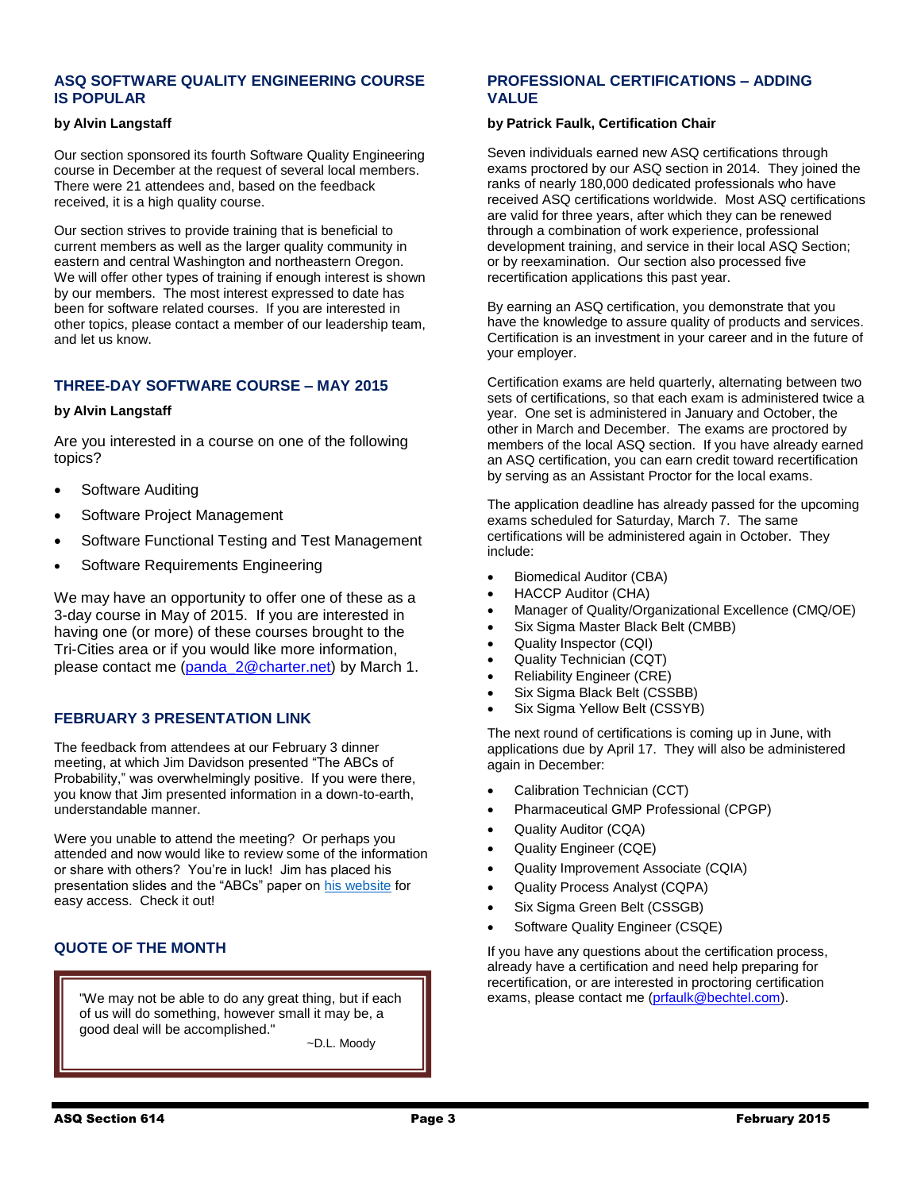# **[ASQ SOFTWARE QUALITY](http://comm.astd.org/public/?q=ulink&fn=Link&ssid=21122&id=e6t6t5ddhd1g91cj2pehqymi5a69q&id2=hhfpmgwxl8x9h28frrkvao7y83kh9&subscriber_id=bcajpwkewcogttaauxuhpfctddphbcd&delivery_id=afmxtriuudfyinnftfhdrgtyqitibdp&tid=3.UoI.B4ky2g.DA7_.AbkEhg..Aosq5g.b..s.ASG7.b.VL1UMA.VL1UMA.tPhZgQ) ENGINEERING COURSE [IS POPULAR](http://comm.astd.org/public/?q=ulink&fn=Link&ssid=21122&id=e6t6t5ddhd1g91cj2pehqymi5a69q&id2=hhfpmgwxl8x9h28frrkvao7y83kh9&subscriber_id=bcajpwkewcogttaauxuhpfctddphbcd&delivery_id=afmxtriuudfyinnftfhdrgtyqitibdp&tid=3.UoI.B4ky2g.DA7_.AbkEhg..Aosq5g.b..s.ASG7.b.VL1UMA.VL1UMA.tPhZgQ)**

#### **by Alvin Langstaff**

Our section sponsored its fourth Software Quality Engineering course in December at the request of several local members. There were 21 attendees and, based on the feedback received, it is a high quality course.

Our section strives to provide training that is beneficial to current members as well as the larger quality community in eastern and central Washington and northeastern Oregon. We will offer other types of training if enough interest is shown by our members. The most interest expressed to date has been for software related courses. If you are interested in other topics, please contact a member of our leadership team, and let us know.

# **THREE-DAY SOFTWARE COURSE – MAY 2015**

#### **by Alvin Langstaff**

Are you interested in a course on one of the following topics?

- Software Auditing
- Software Project Management
- Software Functional Testing and Test Management
- Software Requirements Engineering

We may have an opportunity to offer one of these as a 3-day course in May of 2015. If you are interested in having one (or more) of these courses brought to the Tri-Cities area or if you would like more information, please contact me [\(panda\\_2@charter.net\)](mailto:panda_2@charter.net) by March 1.

# **FEBRUARY 3 PRESENTATION LINK**

The feedback from attendees at our February 3 dinner meeting, at which Jim Davidson presented "The ABCs of Probability," was overwhelmingly positive. If you were there, you know that Jim presented information in a down-to-earth, understandable manner.

Were you unable to attend the meeting? Or perhaps you attended and now would like to review some of the information or share with others? You're in luck! Jim has placed his presentation slides and the "ABCs" paper o[n his website](http://www.ddiquality.com/) for easy access. Check it out!

# **QUOTE OF THE MONTH**

"We may not be able to do any great thing, but if each  $\|\cdot\|$  exams, please contact me [\(prfaulk@bechtel.com\)](mailto:prfaulk@bechtel.com). of us will do something, however small it may be, a good deal will be accomplished."

~D.L. Moody

# **PROFESSIONAL CERTIFICATIONS – ADDING VALUE**

#### **by Patrick Faulk, Certification Chair**

Seven individuals earned new ASQ certifications through exams proctored by our ASQ section in 2014. They joined the ranks of nearly 180,000 dedicated professionals who have received ASQ certifications worldwide. Most ASQ certifications are valid for three years, after which they can be renewed through a combination of work experience, professional development training, and service in their local ASQ Section; or by reexamination. Our section also processed five recertification applications this past year.

By earning an ASQ certification, you demonstrate that you have the knowledge to assure quality of products and services. Certification is an investment in your career and in the future of your employer.

Certification exams are held quarterly, alternating between two sets of certifications, so that each exam is administered twice a year. One set is administered in January and October, the other in March and December. The exams are proctored by members of the local ASQ section. If you have already earned an ASQ certification, you can earn credit toward recertification by serving as an Assistant Proctor for the local exams.

The application deadline has already passed for the upcoming exams scheduled for Saturday, March 7. The same certifications will be administered again in October. They include:

- Biomedical Auditor (CBA)
- HACCP Auditor (CHA)
- Manager of Quality/Organizational Excellence (CMQ/OE)
- Six Sigma Master Black Belt (CMBB)
- Quality Inspector (CQI)
- Quality Technician (CQT)
- Reliability Engineer (CRE)
- Six Sigma Black Belt (CSSBB)
- Six Sigma Yellow Belt (CSSYB)

The next round of certifications is coming up in June, with applications due by April 17. They will also be administered again in December:

- Calibration Technician (CCT)
- Pharmaceutical GMP Professional (CPGP)
- Quality Auditor (CQA)
- Quality Engineer (CQE)
- Quality Improvement Associate (CQIA)
- Quality Process Analyst (CQPA)
- Six Sigma Green Belt (CSSGB)
- Software Quality Engineer (CSQE)

If you have any questions about the certification process, already have a certification and need help preparing for recertification, or are interested in proctoring certification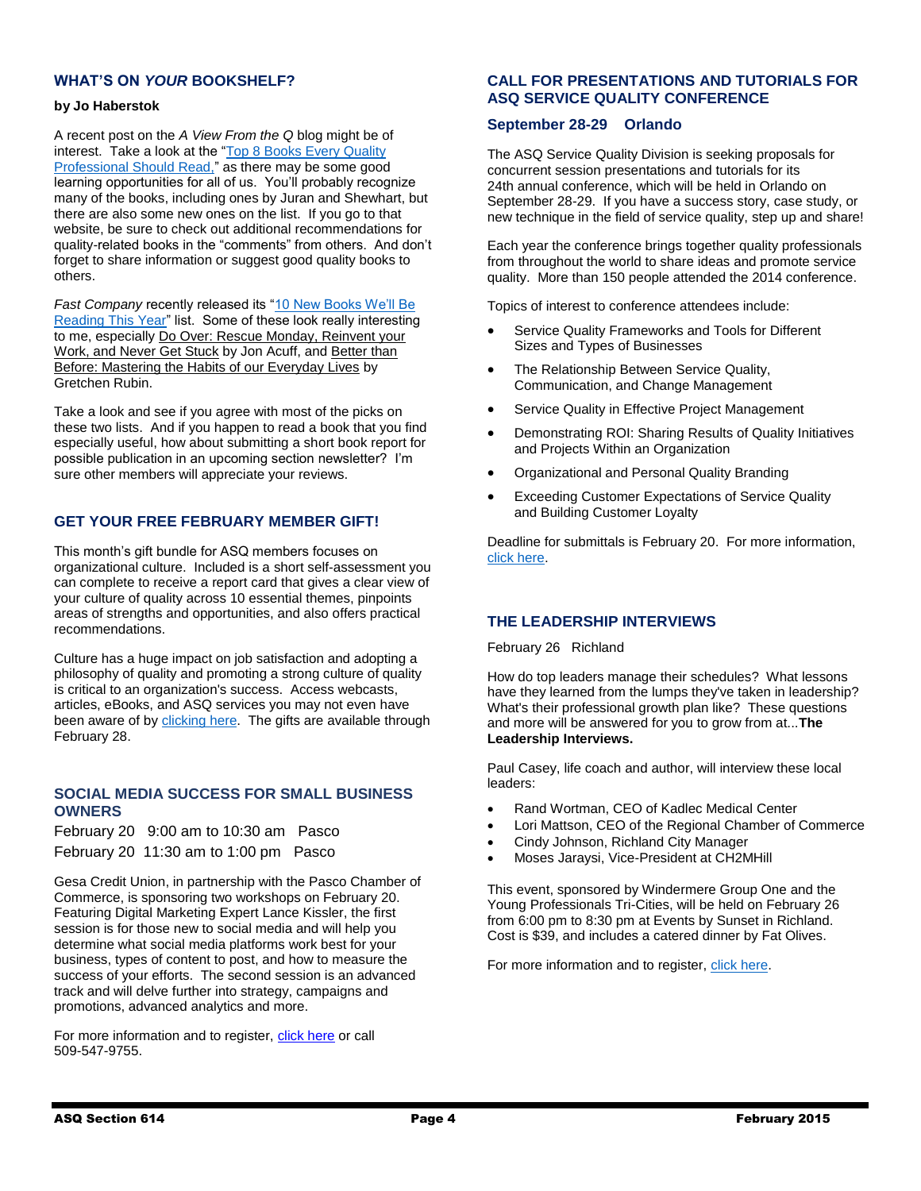# **WHAT'S ON** *YOUR* **BOOKSHELF?**

### **by Jo Haberstok**

A recent post on the *A View From the Q* blog might be of interest. Take a look at the "Top 8 Books Every Quality [Professional Should Read,](http://asq.org/blog/2015/01/top-8-books-every-quality-professional-should-read/?utm_content=&utm_source=email&utm_medium=email&utm_campaign=communications_quality%20now_01282015)" as there may be some good learning opportunities for all of us. You'll probably recognize many of the books, including ones by Juran and Shewhart, but there are also some new ones on the list. If you go to that website, be sure to check out additional recommendations for quality-related books in the "comments" from others. And don't forget to share information or suggest good quality books to others.

Fast Company recently released its "10 New Books We'll Be [Reading This Year"](http://links.communications.asq.org/ctt?kn=5&ms=MTA0OTYyMjcS1&r=MTY0NTI2MDc4NjA2S0&b=0&j=NDYyMzY1MDUzS0&mt=1&rt=0) list. Some of these look really interesting to me, especially Do Over: Rescue Monday, Reinvent your Work, and Never Get Stuck by Jon Acuff, and Better than Before: Mastering the Habits of our Everyday Lives by Gretchen Rubin.

Take a look and see if you agree with most of the picks on these two lists. And if you happen to read a book that you find especially useful, how about submitting a short book report for possible publication in an upcoming section newsletter? I'm sure other members will appreciate your reviews.

# **GET YOUR FREE FEBRUARY MEMBER GIFT!**

This month's gift bundle for ASQ members focuses on organizational culture. Included is a short self-assessment you can complete to receive a report card that gives a clear view of your culture of quality across 10 essential themes, pinpoints areas of strengths and opportunities, and also offers practical recommendations.

Culture has a huge impact on job satisfaction and adopting a philosophy of quality and promoting a strong culture of quality is critical to an organization's success. Access webcasts, articles, eBooks, and ASQ services you may not even have been aware of b[y clicking here.](http://links.communications.asq.org/ctt?kn=3&ms=MTA1NDA5NzUS1&r=MTY1NjQ3MDEyNjA0S0&b=0&j=NDgwMTM3Mzk4S0&mt=1&rt=0) The gifts are available through February 28.

# **SOCIAL MEDIA SUCCESS FOR SMALL BUSINESS OWNERS**

February 20 9:00 am to 10:30 am Pasco February 20 11:30 am to 1:00 pm Pasco

Gesa Credit Union, in partnership with the Pasco Chamber of Commerce, is sponsoring two workshops on February 20. Featuring Digital Marketing Expert Lance Kissler, the first session is for those new to social media and will help you determine what social media platforms work best for your business, types of content to post, and how to measure the success of your efforts. The second session is an advanced track and will delve further into strategy, campaigns and promotions, advanced analytics and more.

For more information and to register, [click here](http://www.gesa.com/learn/seminars) or call 509-547-9755.

# **CALL FOR PRESENTATIONS AND TUTORIALS FOR ASQ SERVICE QUALITY CONFERENCE**

### **September 28-29 Orlando**

The ASQ Service Quality Division is seeking proposals for concurrent session presentations and tutorials for its 24th annual conference, which will be held in Orlando on September 28-29. If you have a success story, case study, or new technique in the field of service quality, step up and share!

Each year the conference brings together quality professionals from throughout the world to share ideas and promote service quality. More than 150 people attended the 2014 conference.

Topics of interest to conference attendees include:

- Service Quality Frameworks and Tools for Different Sizes and Types of Businesses
- The Relationship Between Service Quality, Communication, and Change Management
- Service Quality in Effective Project Management
- Demonstrating ROI: Sharing Results of Quality Initiatives and Projects Within an Organization
- Organizational and Personal Quality Branding
- Exceeding Customer Expectations of Service Quality and Building Customer Loyalty

Deadline for submittals is February 20. For more information, [click here.](http://asq.org/conferences/service-quality/2015/call-for-presentations/index.html)

# **THE LEADERSHIP INTERVIEWS**

February 26 Richland

How do top leaders manage their schedules? What lessons have they learned from the lumps they've taken in leadership? What's their professional growth plan like? These questions and more will be answered for you to grow from at...**The Leadership Interviews.**

Paul Casey, life coach and author, will interview these local leaders:

- Rand Wortman, CEO of Kadlec Medical Center
- Lori Mattson, CEO of the Regional Chamber of Commerce
- Cindy Johnson, Richland City Manager
- Moses Jaraysi, Vice-President at CH2MHill

This event, sponsored by Windermere Group One and the Young Professionals Tri-Cities, will be held on February 26 from 6:00 pm to 8:30 pm at Events by Sunset in Richland. Cost is \$39, and includes a catered dinner by Fat Olives.

For more information and to register[, click here.](http://paulcasey.org/event/leadership-interviews/)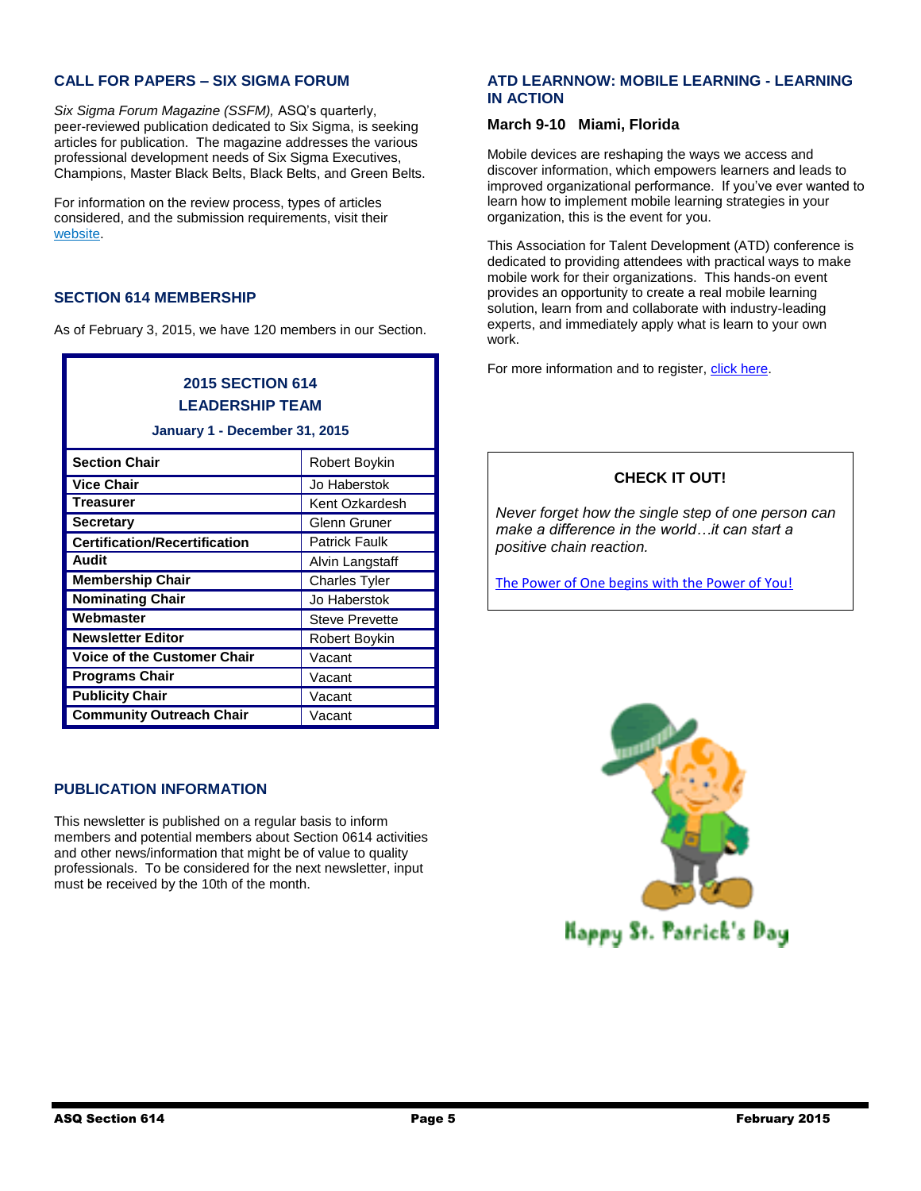# **CALL FOR PAPERS – SIX SIGMA FORUM**

*Six Sigma Forum Magazine (SSFM),* ASQ's quarterly, peer-reviewed publication dedicated to Six Sigma, is seeking articles for publication. The magazine addresses the various professional development needs of Six Sigma Executives, Champions, Master Black Belts, Black Belts, and Green Belts.

For information on the review process, types of articles considered, and the submission requirements, visit their [website.](http://www.asq.org/pub/sixsigma)

# **SECTION 614 MEMBERSHIP**

As of February 3, 2015, we have 120 members in our Section.

| <b>2015 SECTION 614</b> |  |
|-------------------------|--|
| <b>LEADERSHIP TEAM</b>  |  |

#### **January 1 - December 31, 2015**

| <b>Section Chair</b>                 | <b>Robert Boykin</b>  |
|--------------------------------------|-----------------------|
| <b>Vice Chair</b>                    | Jo Haberstok          |
| <b>Treasurer</b>                     | Kent Ozkardesh        |
| <b>Secretary</b>                     | Glenn Gruner          |
| <b>Certification/Recertification</b> | <b>Patrick Faulk</b>  |
| Audit                                | Alvin Langstaff       |
| <b>Membership Chair</b>              | <b>Charles Tyler</b>  |
| <b>Nominating Chair</b>              | Jo Haberstok          |
| Webmaster                            | <b>Steve Prevette</b> |
| <b>Newsletter Editor</b>             | <b>Robert Boykin</b>  |
| <b>Voice of the Customer Chair</b>   | Vacant                |
| <b>Programs Chair</b>                | Vacant                |
| <b>Publicity Chair</b>               | Vacant                |
| <b>Community Outreach Chair</b>      | Vacant                |

# **PUBLICATION INFORMATION**

This newsletter is published on a regular basis to inform members and potential members about Section 0614 activities and other news/information that might be of value to quality professionals. To be considered for the next newsletter, input must be received by the 10th of the month.

# **ATD LEARNNOW: MOBILE LEARNING - LEARNING IN ACTION**

### **[March 9-10 Miami, Florida](http://redirect.td.org/r.aspx?RedirectId=12392)**

Mobile devices are reshaping the ways we access and discover information, which empowers learners and leads to improved organizational performance. If you've ever wanted to learn how to implement mobile learning strategies in your organization, this is the event for you.

This Association for Talent Development (ATD) conference is dedicated to providing attendees with practical ways to make mobile work for their organizations. This hands-on event provides an opportunity to create a real mobile learning solution, learn from and collaborate with industry-leading experts, and immediately apply what is learn to your own work.

For more information and to register[, click here.](https://www.td.org/Events/LearnNow)

# **CHECK IT OUT!**

*Never forget how the single step of one person can make a difference in the world…it can start a positive chain reaction.*

[The Power of One begins with the Power of You!](https://www.youtube.com/watch?v=yIIXoOXj0Ek)